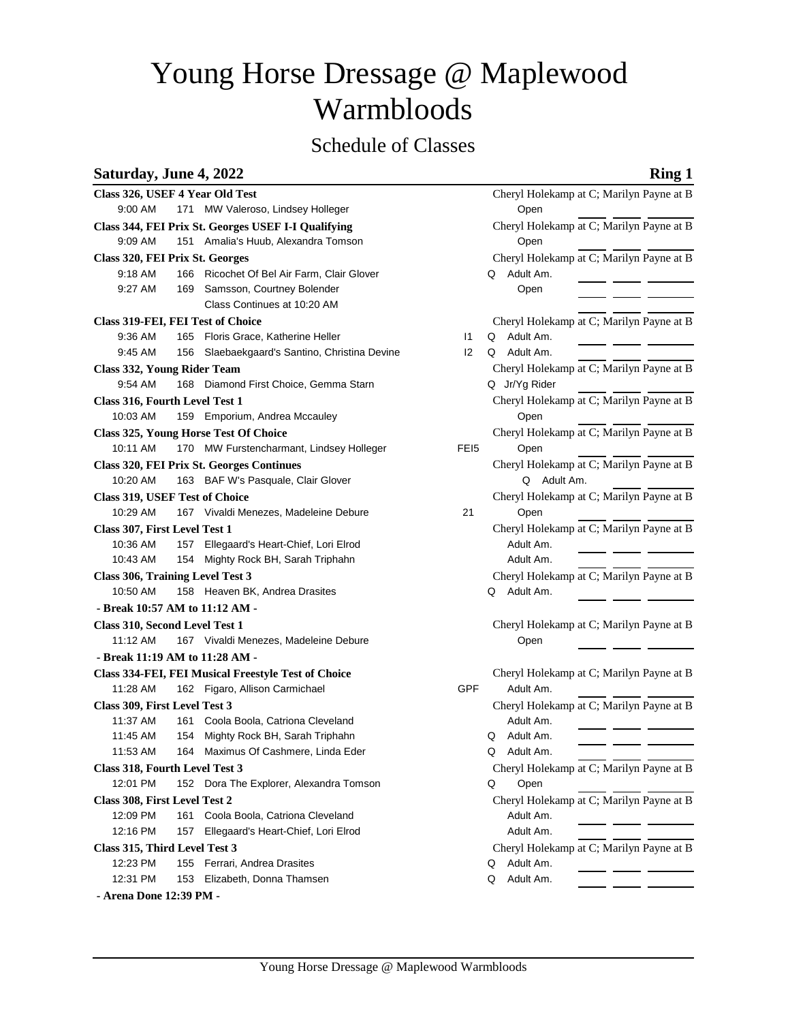# Young Horse Dressage @ Maplewood Warmbloods

## Schedule of Classes

### **Saturday, June 4, 2022 Ring 1**

| Class 326, USEF 4 Year Old Test    |     |                                                     |                  | Cheryl Holekamp at C; Marilyn Payne at B |  |  |  |  |
|------------------------------------|-----|-----------------------------------------------------|------------------|------------------------------------------|--|--|--|--|
| 9:00 AM                            |     | 171 MW Valeroso, Lindsey Holleger                   | Open             |                                          |  |  |  |  |
|                                    |     | Class 344, FEI Prix St. Georges USEF I-I Qualifying |                  | Cheryl Holekamp at C; Marilyn Payne at B |  |  |  |  |
| 9:09 AM                            |     | 151 Amalia's Huub, Alexandra Tomson                 |                  | Open                                     |  |  |  |  |
| Class 320, FEI Prix St. Georges    |     |                                                     |                  | Cheryl Holekamp at C; Marilyn Payne at B |  |  |  |  |
| 9:18 AM                            |     | 166 Ricochet Of Bel Air Farm, Clair Glover          |                  | Q Adult Am.                              |  |  |  |  |
| 9:27 AM                            |     | 169 Samsson, Courtney Bolender                      |                  | Open                                     |  |  |  |  |
|                                    |     | Class Continues at 10:20 AM                         |                  |                                          |  |  |  |  |
| Class 319-FEI, FEI Test of Choice  |     |                                                     |                  | Cheryl Holekamp at C; Marilyn Payne at B |  |  |  |  |
| 9:36 AM                            |     | 165 Floris Grace, Katherine Heller                  | $\mathsf{I}$     | Q Adult Am.                              |  |  |  |  |
| 9:45 AM                            |     | 156 Slaebaekgaard's Santino, Christina Devine       | 12               | Q Adult Am.                              |  |  |  |  |
| <b>Class 332, Young Rider Team</b> |     |                                                     |                  | Cheryl Holekamp at C; Marilyn Payne at B |  |  |  |  |
| 9:54 AM                            |     | 168 Diamond First Choice, Gemma Starn               |                  | Q Jr/Yg Rider                            |  |  |  |  |
| Class 316, Fourth Level Test 1     |     |                                                     |                  | Cheryl Holekamp at C; Marilyn Payne at B |  |  |  |  |
| 10:03 AM                           |     | 159 Emporium, Andrea Mccauley                       |                  | Open                                     |  |  |  |  |
|                                    |     | <b>Class 325, Young Horse Test Of Choice</b>        |                  | Cheryl Holekamp at C; Marilyn Payne at B |  |  |  |  |
| 10:11 AM                           |     | 170 MW Furstencharmant, Lindsey Holleger            | FE <sub>15</sub> | Open                                     |  |  |  |  |
|                                    |     | <b>Class 320, FEI Prix St. Georges Continues</b>    |                  | Cheryl Holekamp at C; Marilyn Payne at B |  |  |  |  |
| 10:20 AM                           |     | 163 BAF W's Pasquale, Clair Glover                  |                  | Q Adult Am.                              |  |  |  |  |
| Class 319, USEF Test of Choice     |     |                                                     |                  | Cheryl Holekamp at C; Marilyn Payne at B |  |  |  |  |
| 10:29 AM                           |     | 167 Vivaldi Menezes, Madeleine Debure               | 21               | Open                                     |  |  |  |  |
| Class 307, First Level Test 1      |     |                                                     |                  | Cheryl Holekamp at C; Marilyn Payne at B |  |  |  |  |
| 10:36 AM                           |     | 157 Ellegaard's Heart-Chief, Lori Elrod             |                  | Adult Am.                                |  |  |  |  |
| 10:43 AM                           |     | 154 Mighty Rock BH, Sarah Triphahn                  |                  | Adult Am.                                |  |  |  |  |
| Class 306, Training Level Test 3   |     |                                                     |                  | Cheryl Holekamp at C; Marilyn Payne at B |  |  |  |  |
| 10:50 AM                           |     | 158 Heaven BK, Andrea Drasites                      |                  | Q Adult Am.                              |  |  |  |  |
| - Break 10:57 AM to 11:12 AM -     |     |                                                     |                  |                                          |  |  |  |  |
| Class 310, Second Level Test 1     |     |                                                     |                  | Cheryl Holekamp at C; Marilyn Payne at B |  |  |  |  |
| 11:12 AM                           |     | 167 Vivaldi Menezes, Madeleine Debure               |                  | Open                                     |  |  |  |  |
| - Break 11:19 AM to 11:28 AM -     |     |                                                     |                  |                                          |  |  |  |  |
|                                    |     | Class 334-FEI, FEI Musical Freestyle Test of Choice |                  | Cheryl Holekamp at C; Marilyn Payne at B |  |  |  |  |
| 11:28 AM                           |     | 162 Figaro, Allison Carmichael                      | GPF              | Adult Am.                                |  |  |  |  |
| Class 309, First Level Test 3      |     |                                                     |                  | Cheryl Holekamp at C; Marilyn Payne at B |  |  |  |  |
| 11:37 AM                           | 161 | Coola Boola, Catriona Cleveland                     |                  | Adult Am.                                |  |  |  |  |
| 11:45 AM                           | 154 | Mighty Rock BH, Sarah Triphahn                      |                  | Adult Am.<br>O                           |  |  |  |  |
| 11:53 AM                           |     | 164 Maximus Of Cashmere, Linda Eder                 |                  | Adult Am.<br>Q                           |  |  |  |  |
| Class 318, Fourth Level Test 3     |     |                                                     |                  | Cheryl Holekamp at C; Marilyn Payne at B |  |  |  |  |
| 12:01 PM                           |     | 152 Dora The Explorer, Alexandra Tomson             |                  | Open<br>Q                                |  |  |  |  |
| Class 308, First Level Test 2      |     |                                                     |                  | Cheryl Holekamp at C; Marilyn Payne at B |  |  |  |  |
| 12:09 PM                           | 161 | Coola Boola, Catriona Cleveland                     |                  | Adult Am.                                |  |  |  |  |
| 12:16 PM                           | 157 | Ellegaard's Heart-Chief, Lori Elrod                 |                  | Adult Am.                                |  |  |  |  |
| Class 315, Third Level Test 3      |     |                                                     |                  | Cheryl Holekamp at C; Marilyn Payne at B |  |  |  |  |
| 12:23 PM                           |     | 155 Ferrari, Andrea Drasites                        |                  | Q Adult Am.                              |  |  |  |  |
| 12:31 PM                           |     | 153 Elizabeth, Donna Thamsen                        |                  | Adult Am.<br>Q                           |  |  |  |  |
| - Arena Done 12:39 PM -            |     |                                                     |                  |                                          |  |  |  |  |